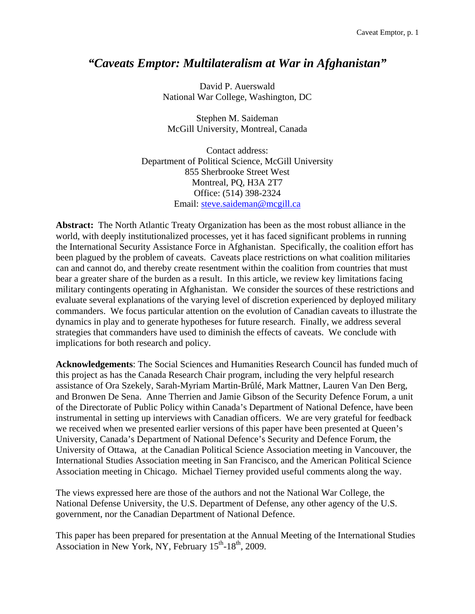# *"Caveats Emptor: Multilateralism at War in Afghanistan"*

David P. Auerswald National War College, Washington, DC

Stephen M. Saideman McGill University, Montreal, Canada

Contact address: Department of Political Science, McGill University 855 Sherbrooke Street West Montreal, PQ, H3A 2T7 Office: (514) 398-2324 Email: steve.saideman@mcgill.ca

**Abstract:** The North Atlantic Treaty Organization has been as the most robust alliance in the world, with deeply institutionalized processes, yet it has faced significant problems in running the International Security Assistance Force in Afghanistan. Specifically, the coalition effort has been plagued by the problem of caveats. Caveats place restrictions on what coalition militaries can and cannot do, and thereby create resentment within the coalition from countries that must bear a greater share of the burden as a result. In this article, we review key limitations facing military contingents operating in Afghanistan. We consider the sources of these restrictions and evaluate several explanations of the varying level of discretion experienced by deployed military commanders. We focus particular attention on the evolution of Canadian caveats to illustrate the dynamics in play and to generate hypotheses for future research. Finally, we address several strategies that commanders have used to diminish the effects of caveats. We conclude with implications for both research and policy.

**Acknowledgements**: The Social Sciences and Humanities Research Council has funded much of this project as has the Canada Research Chair program, including the very helpful research assistance of Ora Szekely, Sarah-Myriam Martin-Brûlé, Mark Mattner, Lauren Van Den Berg, and Bronwen De Sena. Anne Therrien and Jamie Gibson of the Security Defence Forum, a unit of the Directorate of Public Policy within Canada's Department of National Defence, have been instrumental in setting up interviews with Canadian officers. We are very grateful for feedback we received when we presented earlier versions of this paper have been presented at Queen's University, Canada's Department of National Defence's Security and Defence Forum, the University of Ottawa, at the Canadian Political Science Association meeting in Vancouver, the International Studies Association meeting in San Francisco, and the American Political Science Association meeting in Chicago. Michael Tierney provided useful comments along the way.

The views expressed here are those of the authors and not the National War College, the National Defense University, the U.S. Department of Defense, any other agency of the U.S. government, nor the Canadian Department of National Defence.

This paper has been prepared for presentation at the Annual Meeting of the International Studies Association in New York, NY, February  $15^{th}$ - $18^{th}$ , 2009.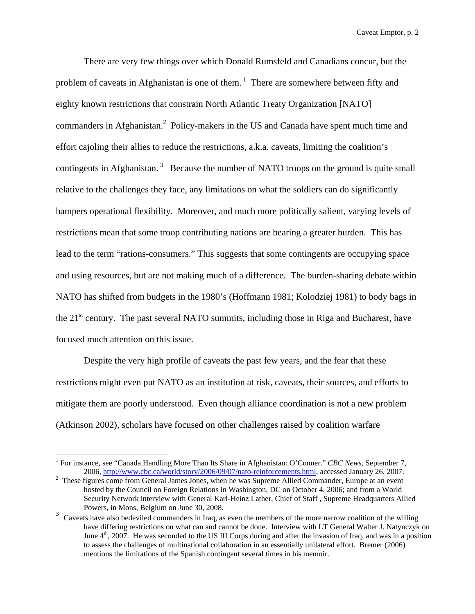There are very few things over which Donald Rumsfeld and Canadians concur, but the problem of caveats in Afghanistan is one of them.<sup>1</sup> There are somewhere between fifty and eighty known restrictions that constrain North Atlantic Treaty Organization [NATO] commanders in Afghanistan.<sup>2</sup> Policy-makers in the US and Canada have spent much time and effort cajoling their allies to reduce the restrictions, a.k.a. caveats, limiting the coalition's contingents in Afghanistan.<sup>3</sup> Because the number of NATO troops on the ground is quite small relative to the challenges they face, any limitations on what the soldiers can do significantly hampers operational flexibility. Moreover, and much more politically salient, varying levels of restrictions mean that some troop contributing nations are bearing a greater burden. This has lead to the term "rations-consumers." This suggests that some contingents are occupying space and using resources, but are not making much of a difference. The burden-sharing debate within NATO has shifted from budgets in the 1980's (Hoffmann 1981; Kolodziej 1981) to body bags in the  $21<sup>st</sup>$  century. The past several NATO summits, including those in Riga and Bucharest, have focused much attention on this issue.

 Despite the very high profile of caveats the past few years, and the fear that these restrictions might even put NATO as an institution at risk, caveats, their sources, and efforts to mitigate them are poorly understood. Even though alliance coordination is not a new problem (Atkinson 2002), scholars have focused on other challenges raised by coalition warfare

<sup>&</sup>lt;sup>1</sup> For instance, see "Canada Handling More Than Its Share in Afghanistan: O'Conner." *CBC News*, September 7, 2006, http://www.cbc.ca/world/story/2006/09/07/nato-reinforcements.html, accessed January 26, 2007.

 $2$  These figures come from General James Jones, when he was Supreme Allied Commander, Europe at an event hosted by the Council on Foreign Relations in Washington, DC on October 4, 2006; and from a World Security Network interview with General Karl-Heinz Lather, Chief of Staff , Supreme Headquarters Allied Powers, in Mons, Belgium on June 30, 2008.

<sup>&</sup>lt;sup>3</sup> Caveats have also bedeviled commanders in Iraq, as even the members of the more narrow coalition of the willing have differing restrictions on what can and cannot be done. Interview with LT General Walter J. Natynczyk on June  $4<sup>th</sup>$ , 2007. He was seconded to the US III Corps during and after the invasion of Iraq, and was in a position to assess the challenges of multinational collaboration in an essentially unilateral effort. Bremer (2006) mentions the limitations of the Spanish contingent several times in his memoir.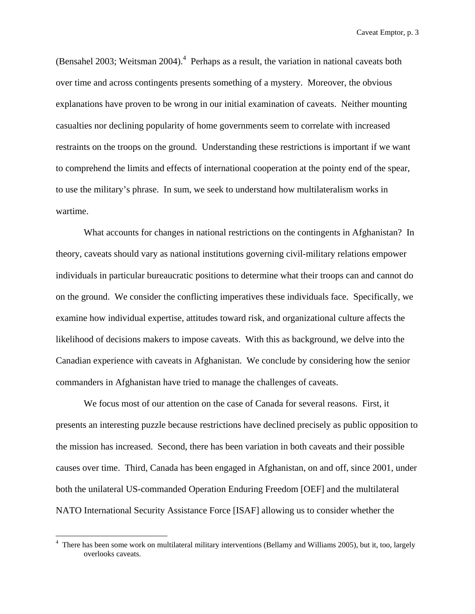(Bensahel 2003; Weitsman 2004). $4$  Perhaps as a result, the variation in national caveats both over time and across contingents presents something of a mystery. Moreover, the obvious explanations have proven to be wrong in our initial examination of caveats. Neither mounting casualties nor declining popularity of home governments seem to correlate with increased restraints on the troops on the ground. Understanding these restrictions is important if we want to comprehend the limits and effects of international cooperation at the pointy end of the spear, to use the military's phrase. In sum, we seek to understand how multilateralism works in wartime.

 What accounts for changes in national restrictions on the contingents in Afghanistan? In theory, caveats should vary as national institutions governing civil-military relations empower individuals in particular bureaucratic positions to determine what their troops can and cannot do on the ground. We consider the conflicting imperatives these individuals face. Specifically, we examine how individual expertise, attitudes toward risk, and organizational culture affects the likelihood of decisions makers to impose caveats. With this as background, we delve into the Canadian experience with caveats in Afghanistan. We conclude by considering how the senior commanders in Afghanistan have tried to manage the challenges of caveats.

 We focus most of our attention on the case of Canada for several reasons. First, it presents an interesting puzzle because restrictions have declined precisely as public opposition to the mission has increased. Second, there has been variation in both caveats and their possible causes over time. Third, Canada has been engaged in Afghanistan, on and off, since 2001, under both the unilateral US-commanded Operation Enduring Freedom [OEF] and the multilateral NATO International Security Assistance Force [ISAF] allowing us to consider whether the

There has been some work on multilateral military interventions (Bellamy and Williams 2005), but it, too, largely overlooks caveats.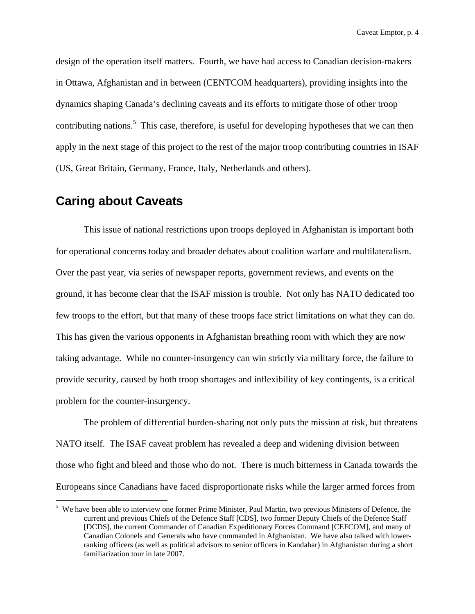design of the operation itself matters. Fourth, we have had access to Canadian decision-makers in Ottawa, Afghanistan and in between (CENTCOM headquarters), providing insights into the dynamics shaping Canada's declining caveats and its efforts to mitigate those of other troop contributing nations.<sup>5</sup> This case, therefore, is useful for developing hypotheses that we can then apply in the next stage of this project to the rest of the major troop contributing countries in ISAF (US, Great Britain, Germany, France, Italy, Netherlands and others).

# **Caring about Caveats**

 $\overline{a}$ 

 This issue of national restrictions upon troops deployed in Afghanistan is important both for operational concerns today and broader debates about coalition warfare and multilateralism. Over the past year, via series of newspaper reports, government reviews, and events on the ground, it has become clear that the ISAF mission is trouble. Not only has NATO dedicated too few troops to the effort, but that many of these troops face strict limitations on what they can do. This has given the various opponents in Afghanistan breathing room with which they are now taking advantage. While no counter-insurgency can win strictly via military force, the failure to provide security, caused by both troop shortages and inflexibility of key contingents, is a critical problem for the counter-insurgency.

 The problem of differential burden-sharing not only puts the mission at risk, but threatens NATO itself. The ISAF caveat problem has revealed a deep and widening division between those who fight and bleed and those who do not. There is much bitterness in Canada towards the Europeans since Canadians have faced disproportionate risks while the larger armed forces from

<sup>&</sup>lt;sup>5</sup> We have been able to interview one former Prime Minister, Paul Martin, two previous Ministers of Defence, the current and previous Chiefs of the Defence Staff [CDS], two former Deputy Chiefs of the Defence Staff [DCDS], the current Commander of Canadian Expeditionary Forces Command [CEFCOM], and many of Canadian Colonels and Generals who have commanded in Afghanistan. We have also talked with lowerranking officers (as well as political advisors to senior officers in Kandahar) in Afghanistan during a short familiarization tour in late 2007.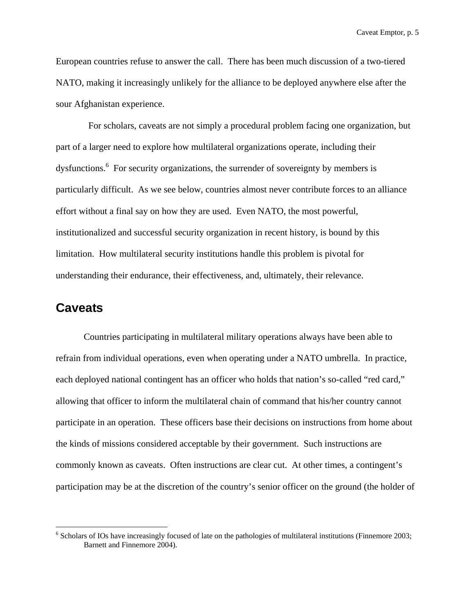European countries refuse to answer the call. There has been much discussion of a two-tiered NATO, making it increasingly unlikely for the alliance to be deployed anywhere else after the sour Afghanistan experience.

 For scholars, caveats are not simply a procedural problem facing one organization, but part of a larger need to explore how multilateral organizations operate, including their dysfunctions.<sup>6</sup> For security organizations, the surrender of sovereignty by members is particularly difficult. As we see below, countries almost never contribute forces to an alliance effort without a final say on how they are used. Even NATO, the most powerful, institutionalized and successful security organization in recent history, is bound by this limitation. How multilateral security institutions handle this problem is pivotal for understanding their endurance, their effectiveness, and, ultimately, their relevance.

# **Caveats**

 $\overline{a}$ 

 Countries participating in multilateral military operations always have been able to refrain from individual operations, even when operating under a NATO umbrella. In practice, each deployed national contingent has an officer who holds that nation's so-called "red card," allowing that officer to inform the multilateral chain of command that his/her country cannot participate in an operation. These officers base their decisions on instructions from home about the kinds of missions considered acceptable by their government. Such instructions are commonly known as caveats. Often instructions are clear cut. At other times, a contingent's participation may be at the discretion of the country's senior officer on the ground (the holder of

<sup>&</sup>lt;sup>6</sup> Scholars of IOs have increasingly focused of late on the pathologies of multilateral institutions (Finnemore 2003; Barnett and Finnemore 2004).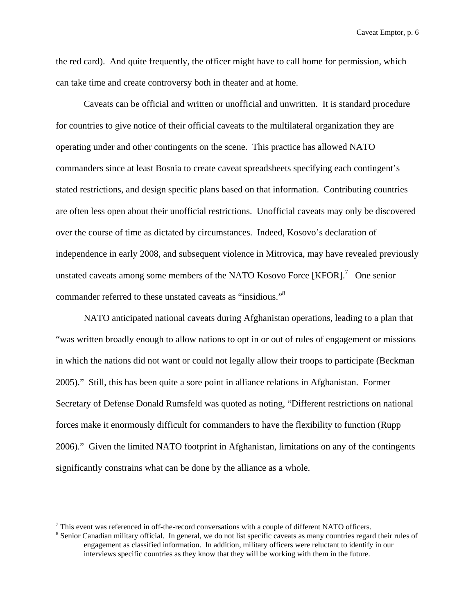the red card). And quite frequently, the officer might have to call home for permission, which can take time and create controversy both in theater and at home.

Caveats can be official and written or unofficial and unwritten. It is standard procedure for countries to give notice of their official caveats to the multilateral organization they are operating under and other contingents on the scene. This practice has allowed NATO commanders since at least Bosnia to create caveat spreadsheets specifying each contingent's stated restrictions, and design specific plans based on that information. Contributing countries are often less open about their unofficial restrictions. Unofficial caveats may only be discovered over the course of time as dictated by circumstances. Indeed, Kosovo's declaration of independence in early 2008, and subsequent violence in Mitrovica, may have revealed previously unstated caveats among some members of the NATO Kosovo Force  $[KFOR]$ <sup>7</sup> One senior commander referred to these unstated caveats as "insidious."<sup>8</sup>

NATO anticipated national caveats during Afghanistan operations, leading to a plan that "was written broadly enough to allow nations to opt in or out of rules of engagement or missions in which the nations did not want or could not legally allow their troops to participate (Beckman 2005)." Still, this has been quite a sore point in alliance relations in Afghanistan. Former Secretary of Defense Donald Rumsfeld was quoted as noting, "Different restrictions on national forces make it enormously difficult for commanders to have the flexibility to function (Rupp 2006)." Given the limited NATO footprint in Afghanistan, limitations on any of the contingents significantly constrains what can be done by the alliance as a whole.

 $^7$  This event was referenced in off-the-record conversations with a couple of different NATO officers.

<sup>&</sup>lt;sup>8</sup> Senior Canadian military official. In general, we do not list specific caveats as many countries regard their rules of engagement as classified information. In addition, military officers were reluctant to identify in our interviews specific countries as they know that they will be working with them in the future.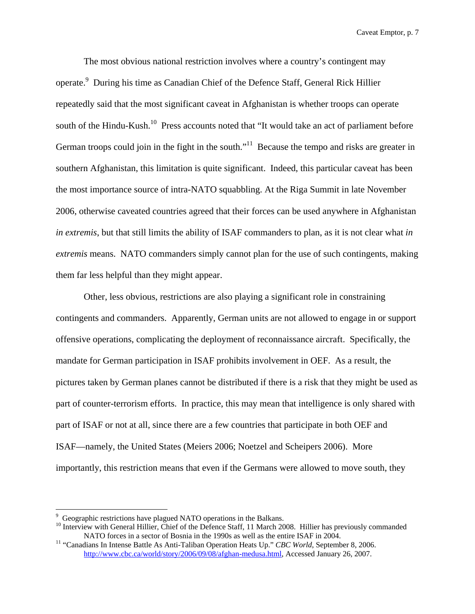The most obvious national restriction involves where a country's contingent may operate.<sup>9</sup> During his time as Canadian Chief of the Defence Staff, General Rick Hillier repeatedly said that the most significant caveat in Afghanistan is whether troops can operate south of the Hindu-Kush.<sup>10</sup> Press accounts noted that "It would take an act of parliament before German troops could join in the fight in the south.<sup> $11$ </sup> Because the tempo and risks are greater in southern Afghanistan, this limitation is quite significant. Indeed, this particular caveat has been the most importance source of intra-NATO squabbling. At the Riga Summit in late November 2006, otherwise caveated countries agreed that their forces can be used anywhere in Afghanistan *in extremis*, but that still limits the ability of ISAF commanders to plan, as it is not clear what *in extremis* means. NATO commanders simply cannot plan for the use of such contingents, making them far less helpful than they might appear.

Other, less obvious, restrictions are also playing a significant role in constraining contingents and commanders. Apparently, German units are not allowed to engage in or support offensive operations, complicating the deployment of reconnaissance aircraft. Specifically, the mandate for German participation in ISAF prohibits involvement in OEF. As a result, the pictures taken by German planes cannot be distributed if there is a risk that they might be used as part of counter-terrorism efforts. In practice, this may mean that intelligence is only shared with part of ISAF or not at all, since there are a few countries that participate in both OEF and ISAF—namely, the United States (Meiers 2006; Noetzel and Scheipers 2006). More importantly, this restriction means that even if the Germans were allowed to move south, they

<sup>&</sup>lt;sup>9</sup> Geographic restrictions have plagued NATO operations in the Balkans.

<sup>&</sup>lt;sup>10</sup> Interview with General Hillier, Chief of the Defence Staff, 11 March 2008. Hillier has previously commanded NATO forces in a sector of Bosnia in the 1990s as well as the entire ISAF in 2004.<br><sup>11</sup> "Canadians In Intense Battle As Anti-Taliban Operation Heats Up." *CBC World*, September 8, 2006.

http://www.cbc.ca/world/story/2006/09/08/afghan-medusa.html, Accessed January 26, 2007.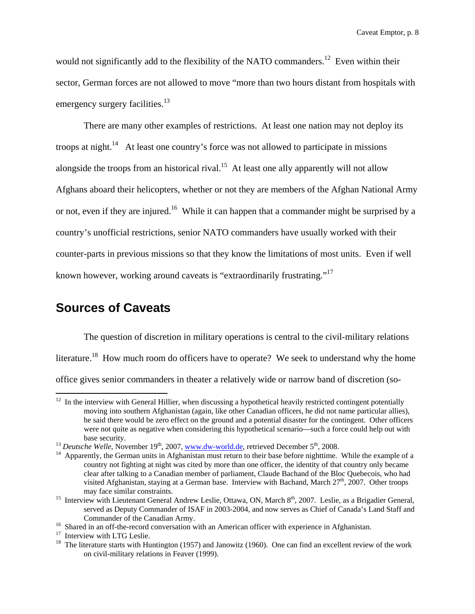would not significantly add to the flexibility of the NATO commanders.<sup>12</sup> Even within their sector, German forces are not allowed to move "more than two hours distant from hospitals with emergency surgery facilities.<sup>13</sup>

There are many other examples of restrictions. At least one nation may not deploy its troops at night.<sup>14</sup> At least one country's force was not allowed to participate in missions alongside the troops from an historical rival.<sup>15</sup> At least one ally apparently will not allow Afghans aboard their helicopters, whether or not they are members of the Afghan National Army or not, even if they are injured.<sup>16</sup> While it can happen that a commander might be surprised by a country's unofficial restrictions, senior NATO commanders have usually worked with their counter-parts in previous missions so that they know the limitations of most units. Even if well known however, working around caveats is "extraordinarily frustrating."17

# **Sources of Caveats**

1

The question of discretion in military operations is central to the civil-military relations literature.<sup>18</sup> How much room do officers have to operate? We seek to understand why the home office gives senior commanders in theater a relatively wide or narrow band of discretion (so-

 $12$  In the interview with General Hillier, when discussing a hypothetical heavily restricted contingent potentially moving into southern Afghanistan (again, like other Canadian officers, he did not name particular allies), he said there would be zero effect on the ground and a potential disaster for the contingent. Other officers were not quite as negative when considering this hypothetical scenario—such a force could help out with base security.<br><sup>13</sup> *Deutsche Welle*, November 19<sup>th</sup>, 2007, www.dw-world.de, retrieved December 5<sup>th</sup>, 2008.<br><sup>14</sup> Apparently, the German units in Afghanistan must return to their base before nighttime. While the example o

country not fighting at night was cited by more than one officer, the identity of that country only became clear after talking to a Canadian member of parliament, Claude Bachand of the Bloc Quebecois, who had visited Afghanistan, staying at a German base. Interview with Bachand, March 27<sup>th</sup>, 2007. Other troops may face similar constraints.<br><sup>15</sup> Interview with Lieutenant General Andrew Leslie, Ottawa, ON, March 8<sup>th</sup>, 2007. Leslie, as a Brigadier General,

served as Deputy Commander of ISAF in 2003-2004, and now serves as Chief of Canada's Land Staff and Commander of the Canadian Army.<br><sup>16</sup> Shared in an off-the-record conversation with an American officer with experience in Afghanistan.<br><sup>17</sup> Interview with LTG Leslie.

<sup>&</sup>lt;sup>18</sup> The literature starts with Huntington (1957) and Janowitz (1960). One can find an excellent review of the work on civil-military relations in Feaver (1999).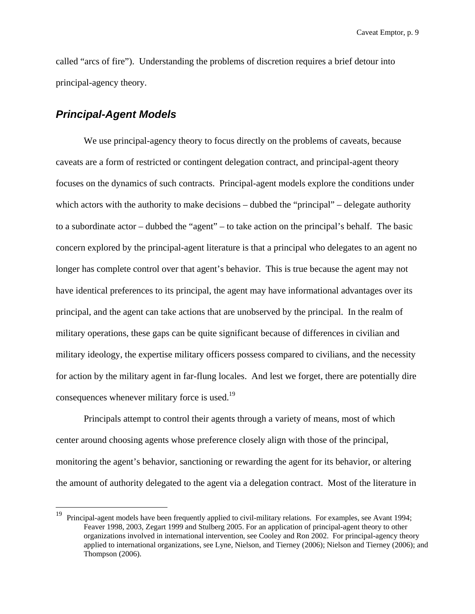called "arcs of fire"). Understanding the problems of discretion requires a brief detour into principal-agency theory.

## *Principal-Agent Models*

 $\overline{a}$ 

 We use principal-agency theory to focus directly on the problems of caveats, because caveats are a form of restricted or contingent delegation contract, and principal-agent theory focuses on the dynamics of such contracts. Principal-agent models explore the conditions under which actors with the authority to make decisions – dubbed the "principal" – delegate authority to a subordinate actor – dubbed the "agent" – to take action on the principal's behalf. The basic concern explored by the principal-agent literature is that a principal who delegates to an agent no longer has complete control over that agent's behavior. This is true because the agent may not have identical preferences to its principal, the agent may have informational advantages over its principal, and the agent can take actions that are unobserved by the principal. In the realm of military operations, these gaps can be quite significant because of differences in civilian and military ideology, the expertise military officers possess compared to civilians, and the necessity for action by the military agent in far-flung locales. And lest we forget, there are potentially dire consequences whenever military force is used.<sup>19</sup>

Principals attempt to control their agents through a variety of means, most of which center around choosing agents whose preference closely align with those of the principal, monitoring the agent's behavior, sanctioning or rewarding the agent for its behavior, or altering the amount of authority delegated to the agent via a delegation contract. Most of the literature in

<sup>&</sup>lt;sup>19</sup> Principal-agent models have been frequently applied to civil-military relations. For examples, see Avant 1994; Feaver 1998, 2003, Zegart 1999 and Stulberg 2005. For an application of principal-agent theory to other organizations involved in international intervention, see Cooley and Ron 2002. For principal-agency theory applied to international organizations, see Lyne, Nielson, and Tierney (2006); Nielson and Tierney (2006); and Thompson (2006).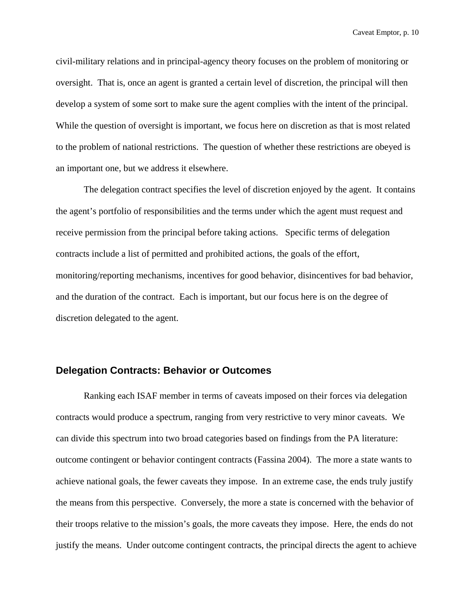civil-military relations and in principal-agency theory focuses on the problem of monitoring or oversight. That is, once an agent is granted a certain level of discretion, the principal will then develop a system of some sort to make sure the agent complies with the intent of the principal. While the question of oversight is important, we focus here on discretion as that is most related to the problem of national restrictions. The question of whether these restrictions are obeyed is an important one, but we address it elsewhere.

The delegation contract specifies the level of discretion enjoyed by the agent. It contains the agent's portfolio of responsibilities and the terms under which the agent must request and receive permission from the principal before taking actions. Specific terms of delegation contracts include a list of permitted and prohibited actions, the goals of the effort, monitoring/reporting mechanisms, incentives for good behavior, disincentives for bad behavior, and the duration of the contract. Each is important, but our focus here is on the degree of discretion delegated to the agent.

#### **Delegation Contracts: Behavior or Outcomes**

Ranking each ISAF member in terms of caveats imposed on their forces via delegation contracts would produce a spectrum, ranging from very restrictive to very minor caveats. We can divide this spectrum into two broad categories based on findings from the PA literature: outcome contingent or behavior contingent contracts (Fassina 2004). The more a state wants to achieve national goals, the fewer caveats they impose. In an extreme case, the ends truly justify the means from this perspective. Conversely, the more a state is concerned with the behavior of their troops relative to the mission's goals, the more caveats they impose. Here, the ends do not justify the means. Under outcome contingent contracts, the principal directs the agent to achieve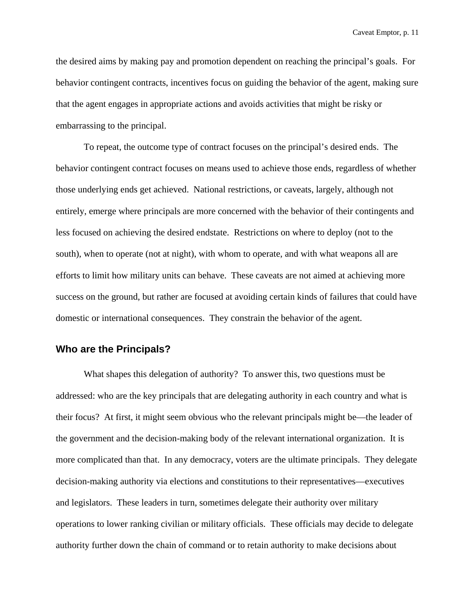the desired aims by making pay and promotion dependent on reaching the principal's goals. For behavior contingent contracts, incentives focus on guiding the behavior of the agent, making sure that the agent engages in appropriate actions and avoids activities that might be risky or embarrassing to the principal.

To repeat, the outcome type of contract focuses on the principal's desired ends. The behavior contingent contract focuses on means used to achieve those ends, regardless of whether those underlying ends get achieved. National restrictions, or caveats, largely, although not entirely, emerge where principals are more concerned with the behavior of their contingents and less focused on achieving the desired endstate. Restrictions on where to deploy (not to the south), when to operate (not at night), with whom to operate, and with what weapons all are efforts to limit how military units can behave. These caveats are not aimed at achieving more success on the ground, but rather are focused at avoiding certain kinds of failures that could have domestic or international consequences. They constrain the behavior of the agent.

#### **Who are the Principals?**

What shapes this delegation of authority? To answer this, two questions must be addressed: who are the key principals that are delegating authority in each country and what is their focus? At first, it might seem obvious who the relevant principals might be—the leader of the government and the decision-making body of the relevant international organization. It is more complicated than that. In any democracy, voters are the ultimate principals. They delegate decision-making authority via elections and constitutions to their representatives—executives and legislators. These leaders in turn, sometimes delegate their authority over military operations to lower ranking civilian or military officials. These officials may decide to delegate authority further down the chain of command or to retain authority to make decisions about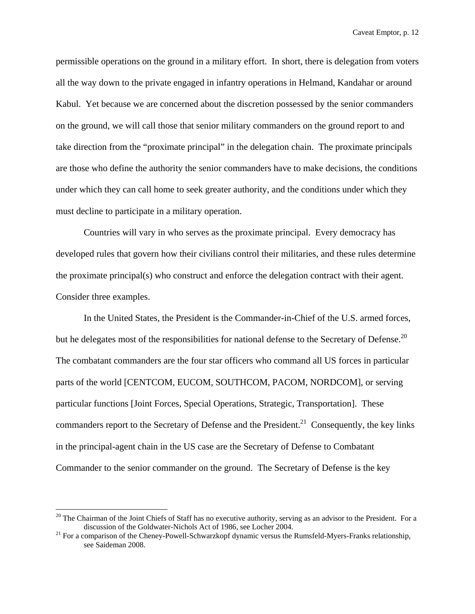permissible operations on the ground in a military effort. In short, there is delegation from voters all the way down to the private engaged in infantry operations in Helmand, Kandahar or around Kabul. Yet because we are concerned about the discretion possessed by the senior commanders on the ground, we will call those that senior military commanders on the ground report to and take direction from the "proximate principal" in the delegation chain. The proximate principals are those who define the authority the senior commanders have to make decisions, the conditions under which they can call home to seek greater authority, and the conditions under which they must decline to participate in a military operation.

Countries will vary in who serves as the proximate principal. Every democracy has developed rules that govern how their civilians control their militaries, and these rules determine the proximate principal(s) who construct and enforce the delegation contract with their agent. Consider three examples.

In the United States, the President is the Commander-in-Chief of the U.S. armed forces, but he delegates most of the responsibilities for national defense to the Secretary of Defense.<sup>20</sup> The combatant commanders are the four star officers who command all US forces in particular parts of the world [CENTCOM, EUCOM, SOUTHCOM, PACOM, NORDCOM], or serving particular functions [Joint Forces, Special Operations, Strategic, Transportation]. These commanders report to the Secretary of Defense and the President.<sup>21</sup> Consequently, the key links in the principal-agent chain in the US case are the Secretary of Defense to Combatant Commander to the senior commander on the ground. The Secretary of Defense is the key

<sup>&</sup>lt;sup>20</sup> The Chairman of the Joint Chiefs of Staff has no executive authority, serving as an advisor to the President. For a discussion of the Goldwater-Nichols Act of 1986, see Locher 2004.<br><sup>21</sup> For a comparison of the Cheney-Powell-Schwarzkopf dynamic versus the Rumsfeld-Myers-Franks relationship,

see Saideman 2008.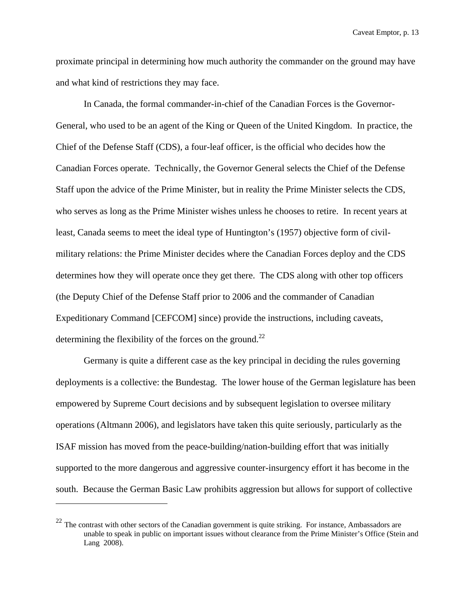proximate principal in determining how much authority the commander on the ground may have and what kind of restrictions they may face.

In Canada, the formal commander-in-chief of the Canadian Forces is the Governor-General, who used to be an agent of the King or Queen of the United Kingdom. In practice, the Chief of the Defense Staff (CDS), a four-leaf officer, is the official who decides how the Canadian Forces operate. Technically, the Governor General selects the Chief of the Defense Staff upon the advice of the Prime Minister, but in reality the Prime Minister selects the CDS, who serves as long as the Prime Minister wishes unless he chooses to retire. In recent years at least, Canada seems to meet the ideal type of Huntington's (1957) objective form of civilmilitary relations: the Prime Minister decides where the Canadian Forces deploy and the CDS determines how they will operate once they get there. The CDS along with other top officers (the Deputy Chief of the Defense Staff prior to 2006 and the commander of Canadian Expeditionary Command [CEFCOM] since) provide the instructions, including caveats, determining the flexibility of the forces on the ground.<sup>22</sup>

Germany is quite a different case as the key principal in deciding the rules governing deployments is a collective: the Bundestag. The lower house of the German legislature has been empowered by Supreme Court decisions and by subsequent legislation to oversee military operations (Altmann 2006), and legislators have taken this quite seriously, particularly as the ISAF mission has moved from the peace-building/nation-building effort that was initially supported to the more dangerous and aggressive counter-insurgency effort it has become in the south. Because the German Basic Law prohibits aggression but allows for support of collective

<sup>&</sup>lt;sup>22</sup> The contrast with other sectors of the Canadian government is quite striking. For instance, Ambassadors are unable to speak in public on important issues without clearance from the Prime Minister's Office (Stein and Lang 2008).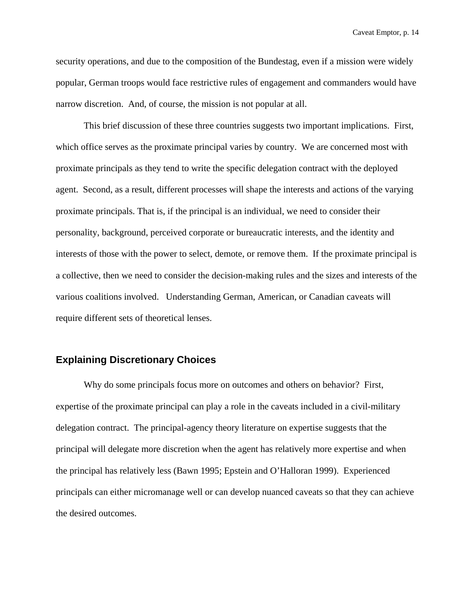security operations, and due to the composition of the Bundestag, even if a mission were widely popular, German troops would face restrictive rules of engagement and commanders would have narrow discretion. And, of course, the mission is not popular at all.

This brief discussion of these three countries suggests two important implications. First, which office serves as the proximate principal varies by country. We are concerned most with proximate principals as they tend to write the specific delegation contract with the deployed agent. Second, as a result, different processes will shape the interests and actions of the varying proximate principals. That is, if the principal is an individual, we need to consider their personality, background, perceived corporate or bureaucratic interests, and the identity and interests of those with the power to select, demote, or remove them. If the proximate principal is a collective, then we need to consider the decision-making rules and the sizes and interests of the various coalitions involved. Understanding German, American, or Canadian caveats will require different sets of theoretical lenses.

### **Explaining Discretionary Choices**

Why do some principals focus more on outcomes and others on behavior? First, expertise of the proximate principal can play a role in the caveats included in a civil-military delegation contract. The principal-agency theory literature on expertise suggests that the principal will delegate more discretion when the agent has relatively more expertise and when the principal has relatively less (Bawn 1995; Epstein and O'Halloran 1999). Experienced principals can either micromanage well or can develop nuanced caveats so that they can achieve the desired outcomes.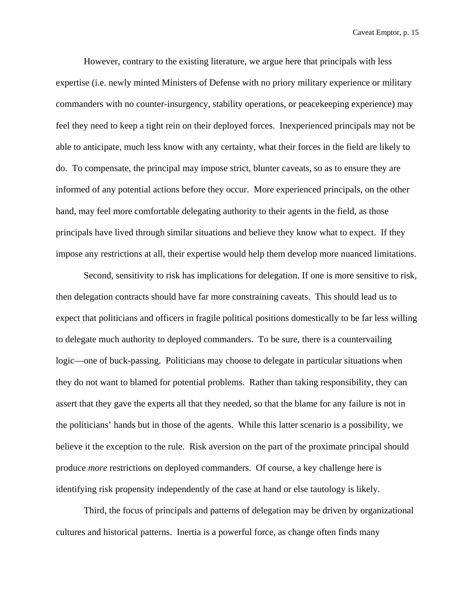However, contrary to the existing literature, we argue here that principals with less expertise (i.e. newly minted Ministers of Defense with no priory military experience or military commanders with no counter-insurgency, stability operations, or peacekeeping experience) may feel they need to keep a tight rein on their deployed forces. Inexperienced principals may not be able to anticipate, much less know with any certainty, what their forces in the field are likely to do. To compensate, the principal may impose strict, blunter caveats, so as to ensure they are informed of any potential actions before they occur. More experienced principals, on the other hand, may feel more comfortable delegating authority to their agents in the field, as those principals have lived through similar situations and believe they know what to expect. If they impose any restrictions at all, their expertise would help them develop more nuanced limitations.

Second, sensitivity to risk has implications for delegation. If one is more sensitive to risk, then delegation contracts should have far more constraining caveats. This should lead us to expect that politicians and officers in fragile political positions domestically to be far less willing to delegate much authority to deployed commanders. To be sure, there is a countervailing logic—one of buck-passing. Politicians may choose to delegate in particular situations when they do not want to blamed for potential problems. Rather than taking responsibility, they can assert that they gave the experts all that they needed, so that the blame for any failure is not in the politicians' hands but in those of the agents. While this latter scenario is a possibility, we believe it the exception to the rule. Risk aversion on the part of the proximate principal should produce *more* restrictions on deployed commanders. Of course, a key challenge here is identifying risk propensity independently of the case at hand or else tautology is likely.

 Third, the focus of principals and patterns of delegation may be driven by organizational cultures and historical patterns. Inertia is a powerful force, as change often finds many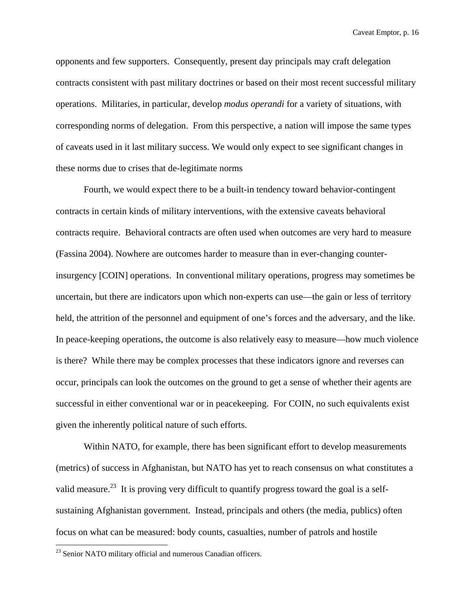opponents and few supporters. Consequently, present day principals may craft delegation contracts consistent with past military doctrines or based on their most recent successful military operations. Militaries, in particular, develop *modus operandi* for a variety of situations, with corresponding norms of delegation. From this perspective, a nation will impose the same types of caveats used in it last military success. We would only expect to see significant changes in these norms due to crises that de-legitimate norms

Fourth, we would expect there to be a built-in tendency toward behavior-contingent contracts in certain kinds of military interventions, with the extensive caveats behavioral contracts require. Behavioral contracts are often used when outcomes are very hard to measure (Fassina 2004). Nowhere are outcomes harder to measure than in ever-changing counterinsurgency [COIN] operations. In conventional military operations, progress may sometimes be uncertain, but there are indicators upon which non-experts can use—the gain or less of territory held, the attrition of the personnel and equipment of one's forces and the adversary, and the like. In peace-keeping operations, the outcome is also relatively easy to measure—how much violence is there? While there may be complex processes that these indicators ignore and reverses can occur, principals can look the outcomes on the ground to get a sense of whether their agents are successful in either conventional war or in peacekeeping. For COIN, no such equivalents exist given the inherently political nature of such efforts.

Within NATO, for example, there has been significant effort to develop measurements (metrics) of success in Afghanistan, but NATO has yet to reach consensus on what constitutes a valid measure.<sup>23</sup> It is proving very difficult to quantify progress toward the goal is a selfsustaining Afghanistan government. Instead, principals and others (the media, publics) often focus on what can be measured: body counts, casualties, number of patrols and hostile

<sup>&</sup>lt;sup>23</sup> Senior NATO military official and numerous Canadian officers.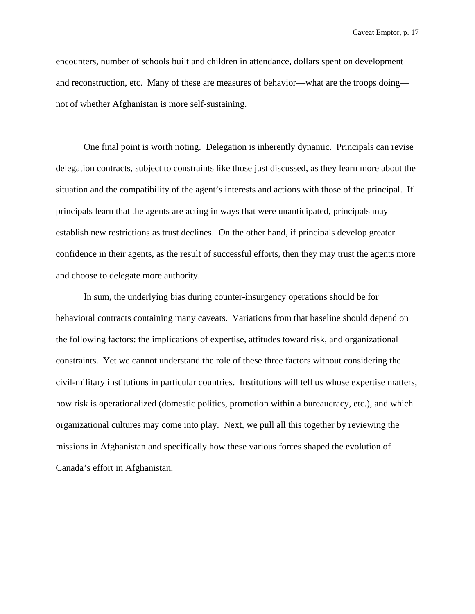encounters, number of schools built and children in attendance, dollars spent on development and reconstruction, etc. Many of these are measures of behavior—what are the troops doing not of whether Afghanistan is more self-sustaining.

One final point is worth noting. Delegation is inherently dynamic. Principals can revise delegation contracts, subject to constraints like those just discussed, as they learn more about the situation and the compatibility of the agent's interests and actions with those of the principal. If principals learn that the agents are acting in ways that were unanticipated, principals may establish new restrictions as trust declines. On the other hand, if principals develop greater confidence in their agents, as the result of successful efforts, then they may trust the agents more and choose to delegate more authority.

 In sum, the underlying bias during counter-insurgency operations should be for behavioral contracts containing many caveats. Variations from that baseline should depend on the following factors: the implications of expertise, attitudes toward risk, and organizational constraints. Yet we cannot understand the role of these three factors without considering the civil-military institutions in particular countries. Institutions will tell us whose expertise matters, how risk is operationalized (domestic politics, promotion within a bureaucracy, etc.), and which organizational cultures may come into play. Next, we pull all this together by reviewing the missions in Afghanistan and specifically how these various forces shaped the evolution of Canada's effort in Afghanistan.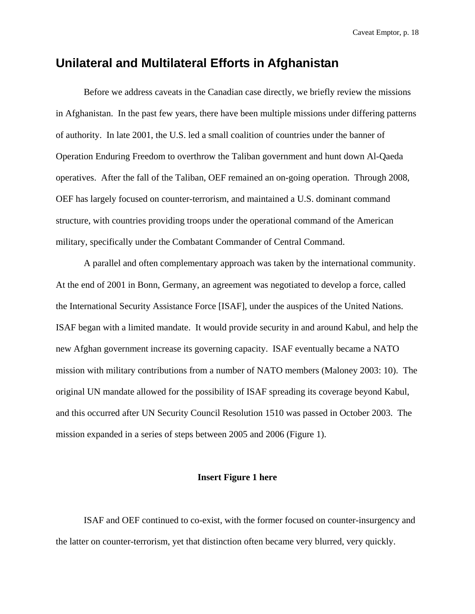# **Unilateral and Multilateral Efforts in Afghanistan**

 Before we address caveats in the Canadian case directly, we briefly review the missions in Afghanistan. In the past few years, there have been multiple missions under differing patterns of authority. In late 2001, the U.S. led a small coalition of countries under the banner of Operation Enduring Freedom to overthrow the Taliban government and hunt down Al-Qaeda operatives. After the fall of the Taliban, OEF remained an on-going operation. Through 2008, OEF has largely focused on counter-terrorism, and maintained a U.S. dominant command structure, with countries providing troops under the operational command of the American military, specifically under the Combatant Commander of Central Command.

A parallel and often complementary approach was taken by the international community. At the end of 2001 in Bonn, Germany, an agreement was negotiated to develop a force, called the International Security Assistance Force [ISAF], under the auspices of the United Nations. ISAF began with a limited mandate. It would provide security in and around Kabul, and help the new Afghan government increase its governing capacity. ISAF eventually became a NATO mission with military contributions from a number of NATO members (Maloney 2003: 10). The original UN mandate allowed for the possibility of ISAF spreading its coverage beyond Kabul, and this occurred after UN Security Council Resolution 1510 was passed in October 2003. The mission expanded in a series of steps between 2005 and 2006 (Figure 1).

#### **Insert Figure 1 here**

 ISAF and OEF continued to co-exist, with the former focused on counter-insurgency and the latter on counter-terrorism, yet that distinction often became very blurred, very quickly.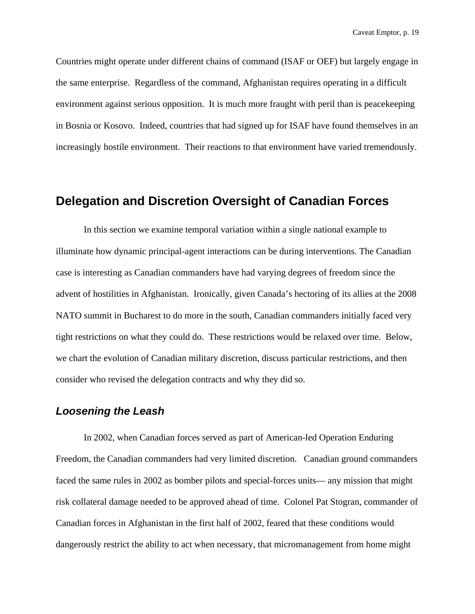Countries might operate under different chains of command (ISAF or OEF) but largely engage in the same enterprise. Regardless of the command, Afghanistan requires operating in a difficult environment against serious opposition. It is much more fraught with peril than is peacekeeping in Bosnia or Kosovo. Indeed, countries that had signed up for ISAF have found themselves in an increasingly hostile environment. Their reactions to that environment have varied tremendously.

## **Delegation and Discretion Oversight of Canadian Forces**

In this section we examine temporal variation within a single national example to illuminate how dynamic principal-agent interactions can be during interventions. The Canadian case is interesting as Canadian commanders have had varying degrees of freedom since the advent of hostilities in Afghanistan. Ironically, given Canada's hectoring of its allies at the 2008 NATO summit in Bucharest to do more in the south, Canadian commanders initially faced very tight restrictions on what they could do. These restrictions would be relaxed over time. Below, we chart the evolution of Canadian military discretion, discuss particular restrictions, and then consider who revised the delegation contracts and why they did so.

## *Loosening the Leash*

In 2002, when Canadian forces served as part of American-led Operation Enduring Freedom, the Canadian commanders had very limited discretion. Canadian ground commanders faced the same rules in 2002 as bomber pilots and special-forces units— any mission that might risk collateral damage needed to be approved ahead of time. Colonel Pat Stogran, commander of Canadian forces in Afghanistan in the first half of 2002, feared that these conditions would dangerously restrict the ability to act when necessary, that micromanagement from home might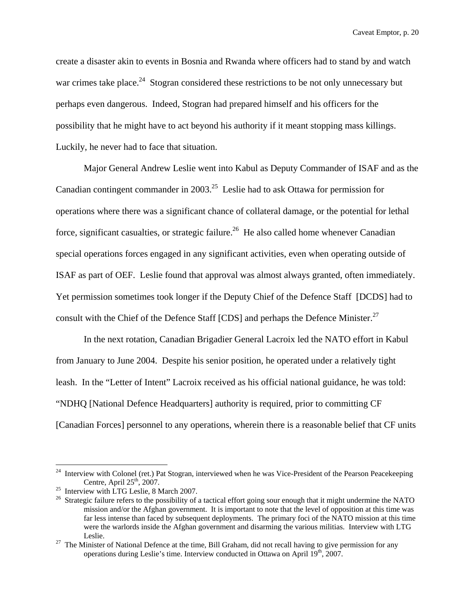create a disaster akin to events in Bosnia and Rwanda where officers had to stand by and watch war crimes take place.<sup>24</sup> Stogran considered these restrictions to be not only unnecessary but perhaps even dangerous. Indeed, Stogran had prepared himself and his officers for the possibility that he might have to act beyond his authority if it meant stopping mass killings. Luckily, he never had to face that situation.

Major General Andrew Leslie went into Kabul as Deputy Commander of ISAF and as the Canadian contingent commander in 2003.<sup>25</sup> Leslie had to ask Ottawa for permission for operations where there was a significant chance of collateral damage, or the potential for lethal force, significant casualties, or strategic failure.<sup>26</sup> He also called home whenever Canadian special operations forces engaged in any significant activities, even when operating outside of ISAF as part of OEF. Leslie found that approval was almost always granted, often immediately. Yet permission sometimes took longer if the Deputy Chief of the Defence Staff [DCDS] had to consult with the Chief of the Defence Staff [CDS] and perhaps the Defence Minister.<sup>27</sup>

In the next rotation, Canadian Brigadier General Lacroix led the NATO effort in Kabul from January to June 2004. Despite his senior position, he operated under a relatively tight leash. In the "Letter of Intent" Lacroix received as his official national guidance, he was told: "NDHQ [National Defence Headquarters] authority is required, prior to committing CF [Canadian Forces] personnel to any operations, wherein there is a reasonable belief that CF units

Interview with Colonel (ret.) Pat Stogran, interviewed when he was Vice-President of the Pearson Peacekeeping Centre, April 25<sup>th</sup>, 2007.

<sup>&</sup>lt;sup>25</sup> Interview with LTG Leslie, 8 March 2007.

<sup>&</sup>lt;sup>26</sup> Strategic failure refers to the possibility of a tactical effort going sour enough that it might undermine the NATO mission and/or the Afghan government. It is important to note that the level of opposition at this time was far less intense than faced by subsequent deployments. The primary foci of the NATO mission at this time were the warlords inside the Afghan government and disarming the various militias. Interview with LTG

Leslie.<br><sup>27</sup> The Minister of National Defence at the time, Bill Graham, did not recall having to give permission for any operations during Leslie's time. Interview conducted in Ottawa on April 19<sup>th</sup>, 2007.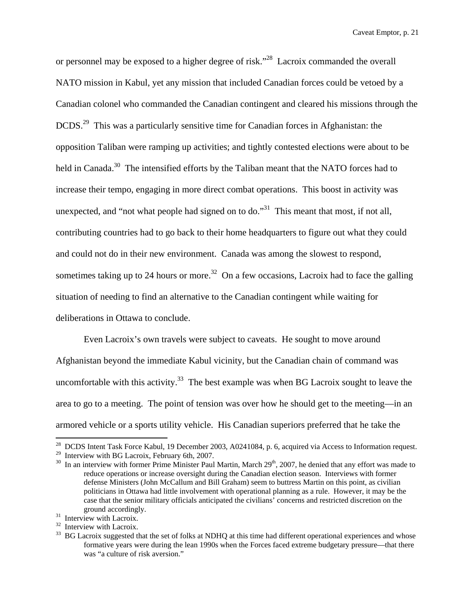or personnel may be exposed to a higher degree of risk."28 Lacroix commanded the overall NATO mission in Kabul, yet any mission that included Canadian forces could be vetoed by a Canadian colonel who commanded the Canadian contingent and cleared his missions through the DCDS.29 This was a particularly sensitive time for Canadian forces in Afghanistan: the opposition Taliban were ramping up activities; and tightly contested elections were about to be held in Canada.<sup>30</sup> The intensified efforts by the Taliban meant that the NATO forces had to increase their tempo, engaging in more direct combat operations. This boost in activity was unexpected, and "not what people had signed on to do."<sup>31</sup> This meant that most, if not all, contributing countries had to go back to their home headquarters to figure out what they could and could not do in their new environment. Canada was among the slowest to respond, sometimes taking up to 24 hours or more.<sup>32</sup> On a few occasions, Lacroix had to face the galling situation of needing to find an alternative to the Canadian contingent while waiting for deliberations in Ottawa to conclude.

Even Lacroix's own travels were subject to caveats. He sought to move around Afghanistan beyond the immediate Kabul vicinity, but the Canadian chain of command was uncomfortable with this activity.<sup>33</sup> The best example was when BG Lacroix sought to leave the area to go to a meeting. The point of tension was over how he should get to the meeting—in an armored vehicle or a sports utility vehicle. His Canadian superiors preferred that he take the

 $^{28}$  DCDS Intent Task Force Kabul, 19 December 2003, A0241084, p. 6, acquired via Access to Information request.

 $29$  Interview with BG Lacroix, February 6th, 2007.

 $30$  In an interview with former Prime Minister Paul Martin, March  $29<sup>th</sup>$ , 2007, he denied that any effort was made to reduce operations or increase oversight during the Canadian election season. Interviews with former defense Ministers (John McCallum and Bill Graham) seem to buttress Martin on this point, as civilian politicians in Ottawa had little involvement with operational planning as a rule. However, it may be the case that the senior military officials anticipated the civilians' concerns and restricted discretion on the ground accordingly.<br><sup>31</sup> Interview with Lacroix.

<sup>&</sup>lt;sup>32</sup> Interview with Lacroix.

<sup>&</sup>lt;sup>33</sup> BG Lacroix suggested that the set of folks at NDHQ at this time had different operational experiences and whose formative years were during the lean 1990s when the Forces faced extreme budgetary pressure—that there was "a culture of risk aversion."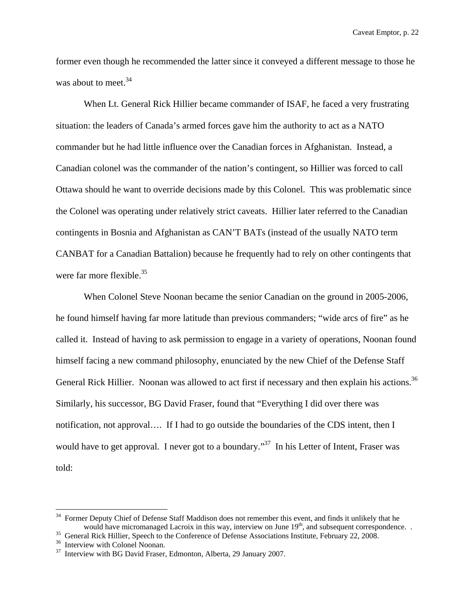former even though he recommended the latter since it conveyed a different message to those he was about to meet.<sup>34</sup>

When Lt. General Rick Hillier became commander of ISAF, he faced a very frustrating situation: the leaders of Canada's armed forces gave him the authority to act as a NATO commander but he had little influence over the Canadian forces in Afghanistan. Instead, a Canadian colonel was the commander of the nation's contingent, so Hillier was forced to call Ottawa should he want to override decisions made by this Colonel. This was problematic since the Colonel was operating under relatively strict caveats. Hillier later referred to the Canadian contingents in Bosnia and Afghanistan as CAN'T BATs (instead of the usually NATO term CANBAT for a Canadian Battalion) because he frequently had to rely on other contingents that were far more flexible.<sup>35</sup>

When Colonel Steve Noonan became the senior Canadian on the ground in 2005-2006, he found himself having far more latitude than previous commanders; "wide arcs of fire" as he called it. Instead of having to ask permission to engage in a variety of operations, Noonan found himself facing a new command philosophy, enunciated by the new Chief of the Defense Staff General Rick Hillier. Noonan was allowed to act first if necessary and then explain his actions.<sup>36</sup> Similarly, his successor, BG David Fraser, found that "Everything I did over there was notification, not approval…. If I had to go outside the boundaries of the CDS intent, then I would have to get approval. I never got to a boundary."<sup>37</sup> In his Letter of Intent, Fraser was told:

<sup>34</sup> Former Deputy Chief of Defense Staff Maddison does not remember this event, and finds it unlikely that he would have micromanaged Lacroix in this way, interview on June 19<sup>th</sup>, and subsequent correspondence. .<br><sup>35</sup> General Rick Hillier, Speech to the Conference of Defense Associations Institute, February 22, 2008.<br><sup>36</sup> Intervi

<sup>&</sup>lt;sup>37</sup> Interview with BG David Fraser, Edmonton, Alberta, 29 January 2007.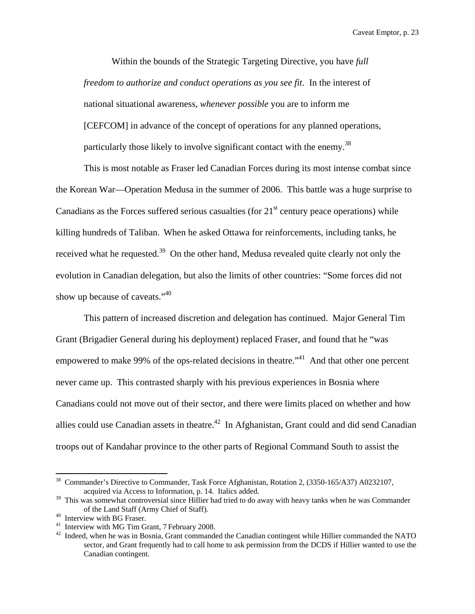Within the bounds of the Strategic Targeting Directive, you have *full freedom to authorize and conduct operations as you see fit*. In the interest of national situational awareness, *whenever possible* you are to inform me [CEFCOM] in advance of the concept of operations for any planned operations, particularly those likely to involve significant contact with the enemy.<sup>38</sup>

This is most notable as Fraser led Canadian Forces during its most intense combat since the Korean War—Operation Medusa in the summer of 2006. This battle was a huge surprise to Canadians as the Forces suffered serious casualties (for  $21<sup>st</sup>$  century peace operations) while killing hundreds of Taliban. When he asked Ottawa for reinforcements, including tanks, he received what he requested.<sup>39</sup> On the other hand, Medusa revealed quite clearly not only the evolution in Canadian delegation, but also the limits of other countries: "Some forces did not show up because of caveats."<sup>40</sup>

This pattern of increased discretion and delegation has continued. Major General Tim Grant (Brigadier General during his deployment) replaced Fraser, and found that he "was empowered to make 99% of the ops-related decisions in theatre."<sup>41</sup> And that other one percent never came up. This contrasted sharply with his previous experiences in Bosnia where Canadians could not move out of their sector, and there were limits placed on whether and how allies could use Canadian assets in theatre.<sup>42</sup> In Afghanistan, Grant could and did send Canadian troops out of Kandahar province to the other parts of Regional Command South to assist the

1

<sup>38</sup> Commander's Directive to Commander, Task Force Afghanistan, Rotation 2, (3350-165/A37) A0232107, acquired via Access to Information, p. 14. Italics added.

<sup>&</sup>lt;sup>39</sup> This was somewhat controversial since Hillier had tried to do away with heavy tanks when he was Commander % of the Land Staff (Army Chief of Staff).<br>
<sup>40</sup> Interview with BG Fraser.<br>
<sup>41</sup> Interview with MG Tim Grant, 7 February 2008.

 $42$  Indeed, when he was in Bosnia, Grant commanded the Canadian contingent while Hillier commanded the NATO sector, and Grant frequently had to call home to ask permission from the DCDS if Hillier wanted to use the Canadian contingent.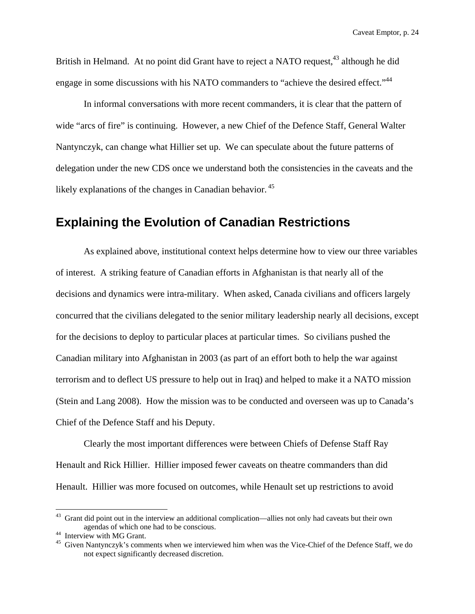British in Helmand. At no point did Grant have to reject a NATO request,<sup>43</sup> although he did engage in some discussions with his NATO commanders to "achieve the desired effect."<sup>44</sup>

In informal conversations with more recent commanders, it is clear that the pattern of wide "arcs of fire" is continuing. However, a new Chief of the Defence Staff, General Walter Nantynczyk, can change what Hillier set up. We can speculate about the future patterns of delegation under the new CDS once we understand both the consistencies in the caveats and the likely explanations of the changes in Canadian behavior.<sup>45</sup>

## **Explaining the Evolution of Canadian Restrictions**

As explained above, institutional context helps determine how to view our three variables of interest. A striking feature of Canadian efforts in Afghanistan is that nearly all of the decisions and dynamics were intra-military. When asked, Canada civilians and officers largely concurred that the civilians delegated to the senior military leadership nearly all decisions, except for the decisions to deploy to particular places at particular times. So civilians pushed the Canadian military into Afghanistan in 2003 (as part of an effort both to help the war against terrorism and to deflect US pressure to help out in Iraq) and helped to make it a NATO mission (Stein and Lang 2008). How the mission was to be conducted and overseen was up to Canada's Chief of the Defence Staff and his Deputy.

Clearly the most important differences were between Chiefs of Defense Staff Ray Henault and Rick Hillier. Hillier imposed fewer caveats on theatre commanders than did Henault. Hillier was more focused on outcomes, while Henault set up restrictions to avoid

<sup>&</sup>lt;sup>43</sup> Grant did point out in the interview an additional complication—allies not only had caveats but their own agendas of which one had to be conscious. 44 Interview with MG Grant.

<sup>&</sup>lt;sup>45</sup> Given Nantynczyk's comments when we interviewed him when was the Vice-Chief of the Defence Staff, we do not expect significantly decreased discretion.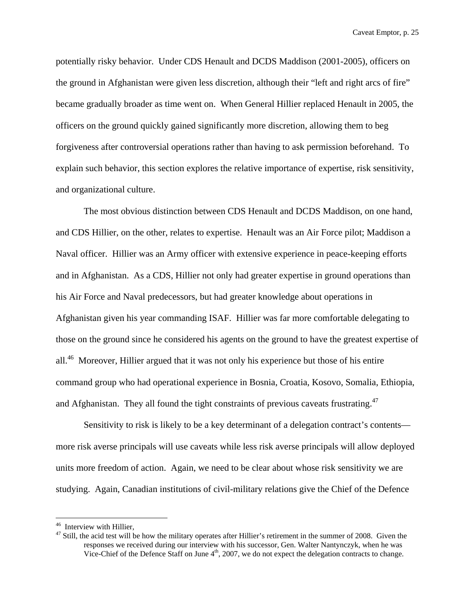potentially risky behavior. Under CDS Henault and DCDS Maddison (2001-2005), officers on the ground in Afghanistan were given less discretion, although their "left and right arcs of fire" became gradually broader as time went on. When General Hillier replaced Henault in 2005, the officers on the ground quickly gained significantly more discretion, allowing them to beg forgiveness after controversial operations rather than having to ask permission beforehand. To explain such behavior, this section explores the relative importance of expertise, risk sensitivity, and organizational culture.

The most obvious distinction between CDS Henault and DCDS Maddison, on one hand, and CDS Hillier, on the other, relates to expertise. Henault was an Air Force pilot; Maddison a Naval officer. Hillier was an Army officer with extensive experience in peace-keeping efforts and in Afghanistan. As a CDS, Hillier not only had greater expertise in ground operations than his Air Force and Naval predecessors, but had greater knowledge about operations in Afghanistan given his year commanding ISAF. Hillier was far more comfortable delegating to those on the ground since he considered his agents on the ground to have the greatest expertise of all.<sup>46</sup> Moreover, Hillier argued that it was not only his experience but those of his entire command group who had operational experience in Bosnia, Croatia, Kosovo, Somalia, Ethiopia, and Afghanistan. They all found the tight constraints of previous caveats frustrating. $47$ 

Sensitivity to risk is likely to be a key determinant of a delegation contract's contents more risk averse principals will use caveats while less risk averse principals will allow deployed units more freedom of action. Again, we need to be clear about whose risk sensitivity we are studying. Again, Canadian institutions of civil-military relations give the Chief of the Defence

<sup>46</sup> Interview with Hillier,

 $47$  Still, the acid test will be how the military operates after Hillier's retirement in the summer of 2008. Given the responses we received during our interview with his successor, Gen. Walter Nantynczyk, when he was Vice-Chief of the Defence Staff on June  $4<sup>th</sup>$ , 2007, we do not expect the delegation contracts to change.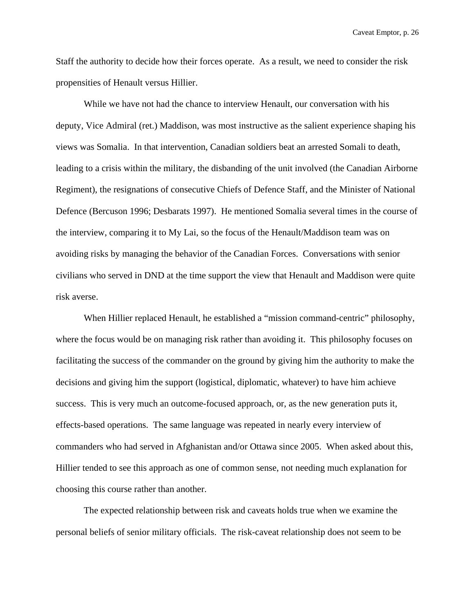Staff the authority to decide how their forces operate. As a result, we need to consider the risk propensities of Henault versus Hillier.

While we have not had the chance to interview Henault, our conversation with his deputy, Vice Admiral (ret.) Maddison, was most instructive as the salient experience shaping his views was Somalia. In that intervention, Canadian soldiers beat an arrested Somali to death, leading to a crisis within the military, the disbanding of the unit involved (the Canadian Airborne Regiment), the resignations of consecutive Chiefs of Defence Staff, and the Minister of National Defence (Bercuson 1996; Desbarats 1997). He mentioned Somalia several times in the course of the interview, comparing it to My Lai, so the focus of the Henault/Maddison team was on avoiding risks by managing the behavior of the Canadian Forces. Conversations with senior civilians who served in DND at the time support the view that Henault and Maddison were quite risk averse.

When Hillier replaced Henault, he established a "mission command-centric" philosophy, where the focus would be on managing risk rather than avoiding it. This philosophy focuses on facilitating the success of the commander on the ground by giving him the authority to make the decisions and giving him the support (logistical, diplomatic, whatever) to have him achieve success. This is very much an outcome-focused approach, or, as the new generation puts it, effects-based operations. The same language was repeated in nearly every interview of commanders who had served in Afghanistan and/or Ottawa since 2005. When asked about this, Hillier tended to see this approach as one of common sense, not needing much explanation for choosing this course rather than another.

The expected relationship between risk and caveats holds true when we examine the personal beliefs of senior military officials. The risk-caveat relationship does not seem to be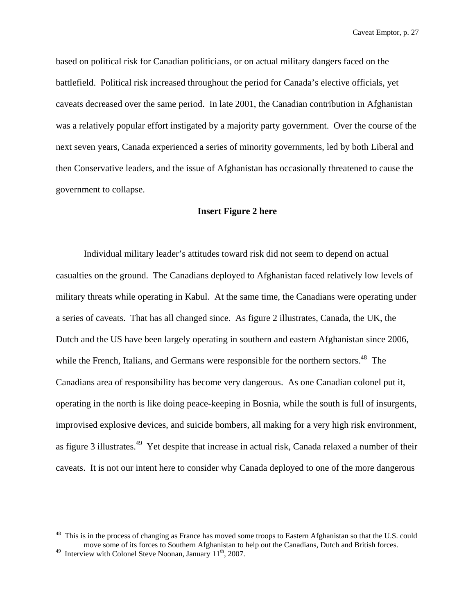based on political risk for Canadian politicians, or on actual military dangers faced on the battlefield. Political risk increased throughout the period for Canada's elective officials, yet caveats decreased over the same period. In late 2001, the Canadian contribution in Afghanistan was a relatively popular effort instigated by a majority party government. Over the course of the next seven years, Canada experienced a series of minority governments, led by both Liberal and then Conservative leaders, and the issue of Afghanistan has occasionally threatened to cause the government to collapse.

#### **Insert Figure 2 here**

 Individual military leader's attitudes toward risk did not seem to depend on actual casualties on the ground. The Canadians deployed to Afghanistan faced relatively low levels of military threats while operating in Kabul. At the same time, the Canadians were operating under a series of caveats. That has all changed since. As figure 2 illustrates, Canada, the UK, the Dutch and the US have been largely operating in southern and eastern Afghanistan since 2006, while the French, Italians, and Germans were responsible for the northern sectors.<sup>48</sup> The Canadians area of responsibility has become very dangerous. As one Canadian colonel put it, operating in the north is like doing peace-keeping in Bosnia, while the south is full of insurgents, improvised explosive devices, and suicide bombers, all making for a very high risk environment, as figure 3 illustrates.<sup>49</sup> Yet despite that increase in actual risk, Canada relaxed a number of their caveats. It is not our intent here to consider why Canada deployed to one of the more dangerous

<sup>&</sup>lt;sup>48</sup> This is in the process of changing as France has moved some troops to Eastern Afghanistan so that the U.S. could move some of its forces to Southern Afghanistan to help out the Canadians, Dutch and British forces.

<sup>&</sup>lt;sup>49</sup> Interview with Colonel Steve Noonan, January  $11^{th}$ , 2007.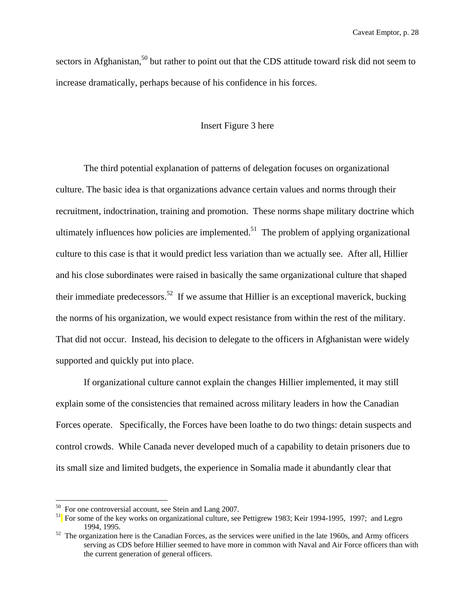sectors in Afghanistan,<sup>50</sup> but rather to point out that the CDS attitude toward risk did not seem to increase dramatically, perhaps because of his confidence in his forces.

#### Insert Figure 3 here

The third potential explanation of patterns of delegation focuses on organizational culture. The basic idea is that organizations advance certain values and norms through their recruitment, indoctrination, training and promotion. These norms shape military doctrine which ultimately influences how policies are implemented.<sup>51</sup> The problem of applying organizational culture to this case is that it would predict less variation than we actually see. After all, Hillier and his close subordinates were raised in basically the same organizational culture that shaped their immediate predecessors.<sup>52</sup> If we assume that Hillier is an exceptional maverick, bucking the norms of his organization, we would expect resistance from within the rest of the military. That did not occur. Instead, his decision to delegate to the officers in Afghanistan were widely supported and quickly put into place.

If organizational culture cannot explain the changes Hillier implemented, it may still explain some of the consistencies that remained across military leaders in how the Canadian Forces operate. Specifically, the Forces have been loathe to do two things: detain suspects and control crowds. While Canada never developed much of a capability to detain prisoners due to its small size and limited budgets, the experience in Somalia made it abundantly clear that

<sup>50</sup> For one controversial account, see Stein and Lang 2007.

<sup>&</sup>lt;sup>51</sup> For some of the key works on organizational culture, see Pettigrew 1983; Keir 1994-1995, 1997; and Legro 1994, 1995. 52 The organization here is the Canadian Forces, as the services were unified in the late 1960s, and Army officers

serving as CDS before Hillier seemed to have more in common with Naval and Air Force officers than with the current generation of general officers.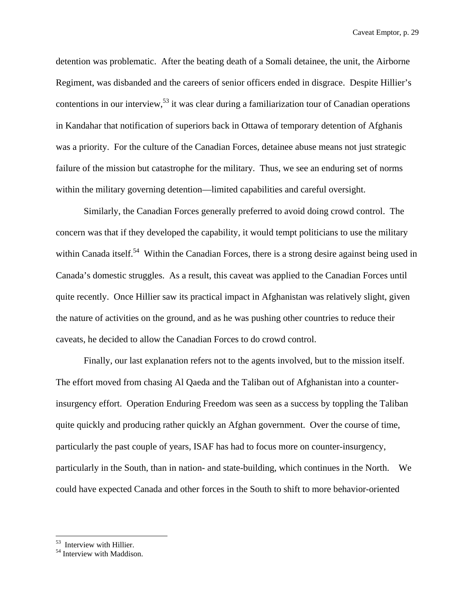detention was problematic. After the beating death of a Somali detainee, the unit, the Airborne Regiment, was disbanded and the careers of senior officers ended in disgrace. Despite Hillier's contentions in our interview,<sup>53</sup> it was clear during a familiarization tour of Canadian operations in Kandahar that notification of superiors back in Ottawa of temporary detention of Afghanis was a priority. For the culture of the Canadian Forces, detainee abuse means not just strategic failure of the mission but catastrophe for the military. Thus, we see an enduring set of norms within the military governing detention—limited capabilities and careful oversight.

Similarly, the Canadian Forces generally preferred to avoid doing crowd control. The concern was that if they developed the capability, it would tempt politicians to use the military within Canada itself.<sup>54</sup> Within the Canadian Forces, there is a strong desire against being used in Canada's domestic struggles. As a result, this caveat was applied to the Canadian Forces until quite recently. Once Hillier saw its practical impact in Afghanistan was relatively slight, given the nature of activities on the ground, and as he was pushing other countries to reduce their caveats, he decided to allow the Canadian Forces to do crowd control.

Finally, our last explanation refers not to the agents involved, but to the mission itself. The effort moved from chasing Al Qaeda and the Taliban out of Afghanistan into a counterinsurgency effort. Operation Enduring Freedom was seen as a success by toppling the Taliban quite quickly and producing rather quickly an Afghan government. Over the course of time, particularly the past couple of years, ISAF has had to focus more on counter-insurgency, particularly in the South, than in nation- and state-building, which continues in the North. We could have expected Canada and other forces in the South to shift to more behavior-oriented

<sup>53</sup> Interview with Hillier.

<sup>54</sup> Interview with Maddison.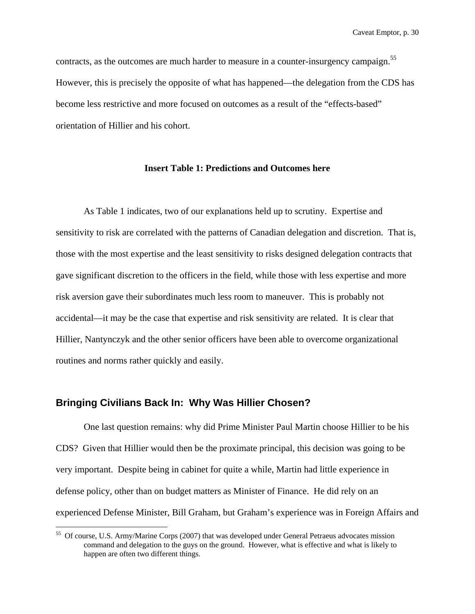contracts, as the outcomes are much harder to measure in a counter-insurgency campaign.<sup>55</sup> However, this is precisely the opposite of what has happened—the delegation from the CDS has become less restrictive and more focused on outcomes as a result of the "effects-based" orientation of Hillier and his cohort.

#### **Insert Table 1: Predictions and Outcomes here**

As Table 1 indicates, two of our explanations held up to scrutiny. Expertise and sensitivity to risk are correlated with the patterns of Canadian delegation and discretion. That is, those with the most expertise and the least sensitivity to risks designed delegation contracts that gave significant discretion to the officers in the field, while those with less expertise and more risk aversion gave their subordinates much less room to maneuver. This is probably not accidental—it may be the case that expertise and risk sensitivity are related. It is clear that Hillier, Nantynczyk and the other senior officers have been able to overcome organizational routines and norms rather quickly and easily.

### **Bringing Civilians Back In: Why Was Hillier Chosen?**

 $\overline{a}$ 

 One last question remains: why did Prime Minister Paul Martin choose Hillier to be his CDS? Given that Hillier would then be the proximate principal, this decision was going to be very important. Despite being in cabinet for quite a while, Martin had little experience in defense policy, other than on budget matters as Minister of Finance. He did rely on an experienced Defense Minister, Bill Graham, but Graham's experience was in Foreign Affairs and

<sup>55</sup> Of course, U.S. Army/Marine Corps (2007) that was developed under General Petraeus advocates mission command and delegation to the guys on the ground. However, what is effective and what is likely to happen are often two different things.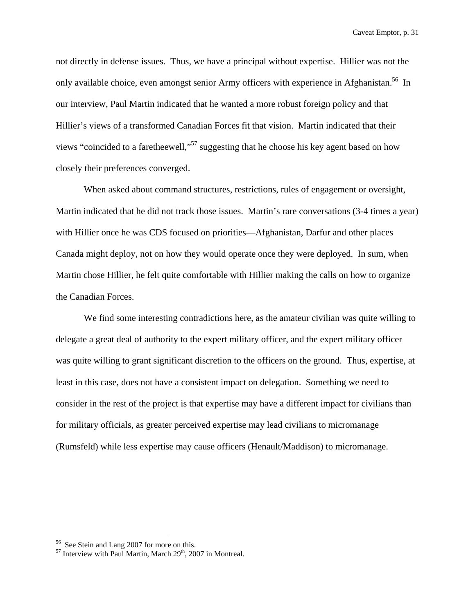not directly in defense issues. Thus, we have a principal without expertise. Hillier was not the only available choice, even amongst senior Army officers with experience in Afghanistan.<sup>56</sup> In our interview, Paul Martin indicated that he wanted a more robust foreign policy and that Hillier's views of a transformed Canadian Forces fit that vision. Martin indicated that their views "coincided to a faretheewell,"57 suggesting that he choose his key agent based on how closely their preferences converged.

When asked about command structures, restrictions, rules of engagement or oversight, Martin indicated that he did not track those issues. Martin's rare conversations (3-4 times a year) with Hillier once he was CDS focused on priorities—Afghanistan, Darfur and other places Canada might deploy, not on how they would operate once they were deployed. In sum, when Martin chose Hillier, he felt quite comfortable with Hillier making the calls on how to organize the Canadian Forces.

We find some interesting contradictions here, as the amateur civilian was quite willing to delegate a great deal of authority to the expert military officer, and the expert military officer was quite willing to grant significant discretion to the officers on the ground. Thus, expertise, at least in this case, does not have a consistent impact on delegation. Something we need to consider in the rest of the project is that expertise may have a different impact for civilians than for military officials, as greater perceived expertise may lead civilians to micromanage (Rumsfeld) while less expertise may cause officers (Henault/Maddison) to micromanage.

1

<sup>&</sup>lt;sup>56</sup> See Stein and Lang 2007 for more on this.

 $57$  Interview with Paul Martin, March  $29<sup>th</sup>$ , 2007 in Montreal.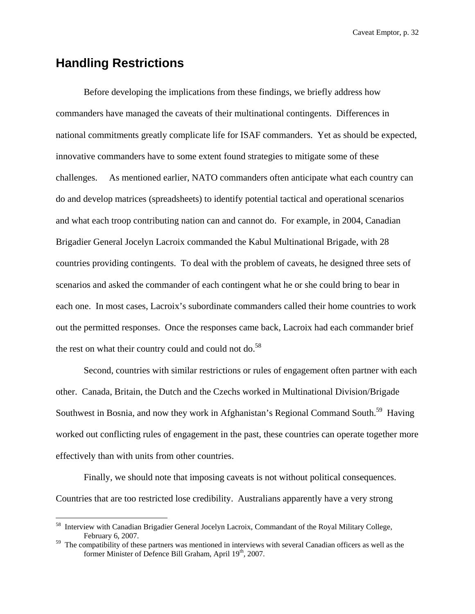# **Handling Restrictions**

<u>.</u>

Before developing the implications from these findings, we briefly address how commanders have managed the caveats of their multinational contingents. Differences in national commitments greatly complicate life for ISAF commanders. Yet as should be expected, innovative commanders have to some extent found strategies to mitigate some of these challenges. As mentioned earlier, NATO commanders often anticipate what each country can do and develop matrices (spreadsheets) to identify potential tactical and operational scenarios and what each troop contributing nation can and cannot do. For example, in 2004, Canadian Brigadier General Jocelyn Lacroix commanded the Kabul Multinational Brigade, with 28 countries providing contingents. To deal with the problem of caveats, he designed three sets of scenarios and asked the commander of each contingent what he or she could bring to bear in each one. In most cases, Lacroix's subordinate commanders called their home countries to work out the permitted responses. Once the responses came back, Lacroix had each commander brief the rest on what their country could and could not do. $58$ 

Second, countries with similar restrictions or rules of engagement often partner with each other. Canada, Britain, the Dutch and the Czechs worked in Multinational Division/Brigade Southwest in Bosnia, and now they work in Afghanistan's Regional Command South.<sup>59</sup> Having worked out conflicting rules of engagement in the past, these countries can operate together more effectively than with units from other countries.

Finally, we should note that imposing caveats is not without political consequences. Countries that are too restricted lose credibility. Australians apparently have a very strong

<sup>&</sup>lt;sup>58</sup> Interview with Canadian Brigadier General Jocelyn Lacroix, Commandant of the Royal Military College, February 6, 2007.

 $59$  The compatibility of these partners was mentioned in interviews with several Canadian officers as well as the former Minister of Defence Bill Graham, April 19<sup>th</sup>, 2007.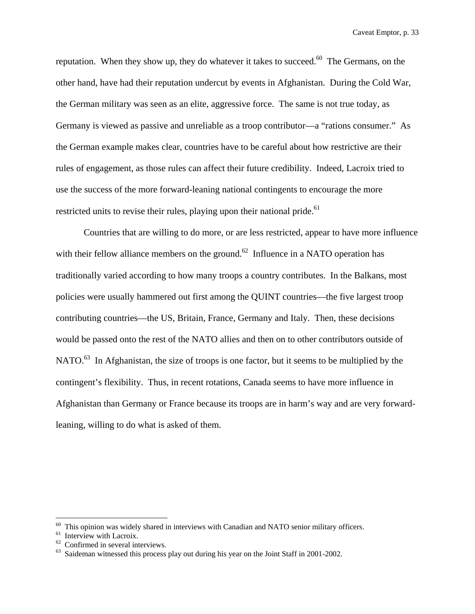reputation. When they show up, they do whatever it takes to succeed.<sup>60</sup> The Germans, on the other hand, have had their reputation undercut by events in Afghanistan. During the Cold War, the German military was seen as an elite, aggressive force. The same is not true today, as Germany is viewed as passive and unreliable as a troop contributor—a "rations consumer." As the German example makes clear, countries have to be careful about how restrictive are their rules of engagement, as those rules can affect their future credibility. Indeed, Lacroix tried to use the success of the more forward-leaning national contingents to encourage the more restricted units to revise their rules, playing upon their national pride.<sup>61</sup>

Countries that are willing to do more, or are less restricted, appear to have more influence with their fellow alliance members on the ground.<sup>62</sup> Influence in a NATO operation has traditionally varied according to how many troops a country contributes. In the Balkans, most policies were usually hammered out first among the QUINT countries—the five largest troop contributing countries—the US, Britain, France, Germany and Italy. Then, these decisions would be passed onto the rest of the NATO allies and then on to other contributors outside of NATO.<sup>63</sup> In Afghanistan, the size of troops is one factor, but it seems to be multiplied by the contingent's flexibility. Thus, in recent rotations, Canada seems to have more influence in Afghanistan than Germany or France because its troops are in harm's way and are very forwardleaning, willing to do what is asked of them.

 $60$  This opinion was widely shared in interviews with Canadian and NATO senior military officers.<br>
<sup>61</sup> Interview with Lacroix.

 $62$  Confirmed in several interviews.

Saideman witnessed this process play out during his year on the Joint Staff in 2001-2002.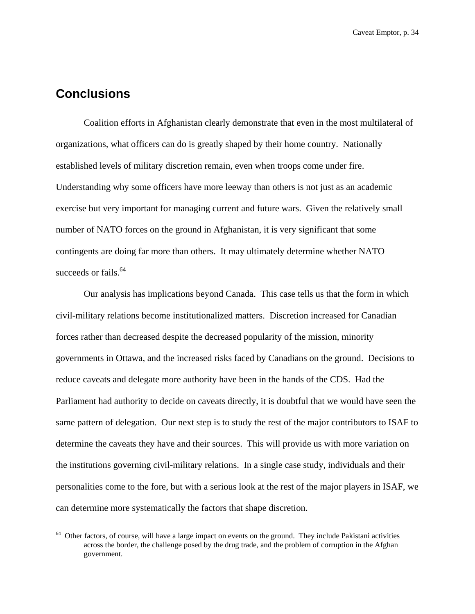# **Conclusions**

 $\overline{a}$ 

Coalition efforts in Afghanistan clearly demonstrate that even in the most multilateral of organizations, what officers can do is greatly shaped by their home country. Nationally established levels of military discretion remain, even when troops come under fire. Understanding why some officers have more leeway than others is not just as an academic exercise but very important for managing current and future wars. Given the relatively small number of NATO forces on the ground in Afghanistan, it is very significant that some contingents are doing far more than others. It may ultimately determine whether NATO succeeds or fails.<sup>64</sup>

Our analysis has implications beyond Canada. This case tells us that the form in which civil-military relations become institutionalized matters. Discretion increased for Canadian forces rather than decreased despite the decreased popularity of the mission, minority governments in Ottawa, and the increased risks faced by Canadians on the ground. Decisions to reduce caveats and delegate more authority have been in the hands of the CDS. Had the Parliament had authority to decide on caveats directly, it is doubtful that we would have seen the same pattern of delegation. Our next step is to study the rest of the major contributors to ISAF to determine the caveats they have and their sources. This will provide us with more variation on the institutions governing civil-military relations. In a single case study, individuals and their personalities come to the fore, but with a serious look at the rest of the major players in ISAF, we can determine more systematically the factors that shape discretion.

<sup>&</sup>lt;sup>64</sup> Other factors, of course, will have a large impact on events on the ground. They include Pakistani activities across the border, the challenge posed by the drug trade, and the problem of corruption in the Afghan government.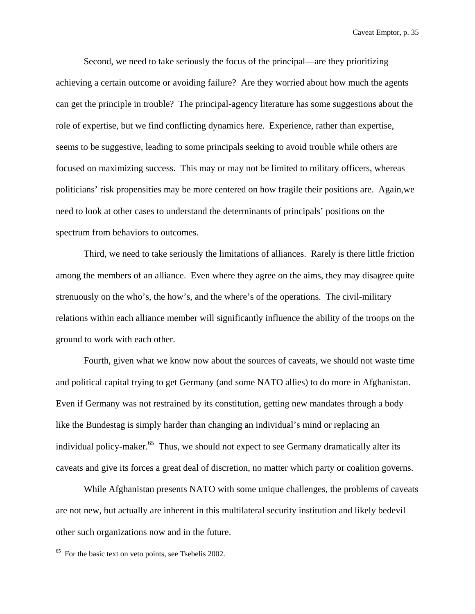Second, we need to take seriously the focus of the principal—are they prioritizing achieving a certain outcome or avoiding failure? Are they worried about how much the agents can get the principle in trouble? The principal-agency literature has some suggestions about the role of expertise, but we find conflicting dynamics here. Experience, rather than expertise, seems to be suggestive, leading to some principals seeking to avoid trouble while others are focused on maximizing success. This may or may not be limited to military officers, whereas politicians' risk propensities may be more centered on how fragile their positions are. Again,we need to look at other cases to understand the determinants of principals' positions on the spectrum from behaviors to outcomes.

Third, we need to take seriously the limitations of alliances. Rarely is there little friction among the members of an alliance. Even where they agree on the aims, they may disagree quite strenuously on the who's, the how's, and the where's of the operations. The civil-military relations within each alliance member will significantly influence the ability of the troops on the ground to work with each other.

Fourth, given what we know now about the sources of caveats, we should not waste time and political capital trying to get Germany (and some NATO allies) to do more in Afghanistan. Even if Germany was not restrained by its constitution, getting new mandates through a body like the Bundestag is simply harder than changing an individual's mind or replacing an individual policy-maker.<sup>65</sup> Thus, we should not expect to see Germany dramatically alter its caveats and give its forces a great deal of discretion, no matter which party or coalition governs.

While Afghanistan presents NATO with some unique challenges, the problems of caveats are not new, but actually are inherent in this multilateral security institution and likely bedevil other such organizations now and in the future.

<sup>&</sup>lt;sup>65</sup> For the basic text on veto points, see Tsebelis 2002.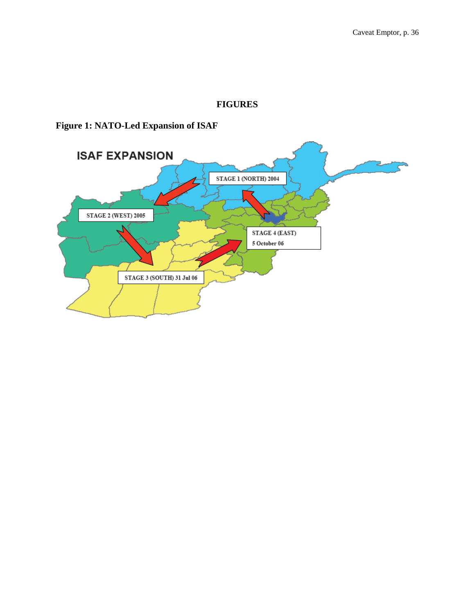## **FIGURES**

# **Figure 1: NATO-Led Expansion of ISAF**

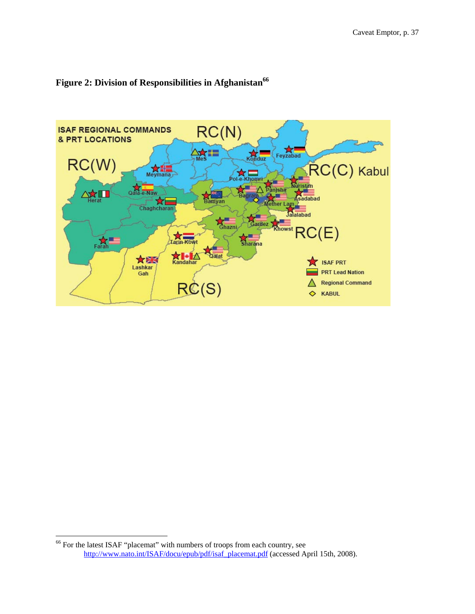



1

<sup>&</sup>lt;sup>66</sup> For the latest ISAF "placemat" with numbers of troops from each country, see http://www.nato.int/ISAF/docu/epub/pdf/isaf\_placemat.pdf (accessed April 15th, 2008).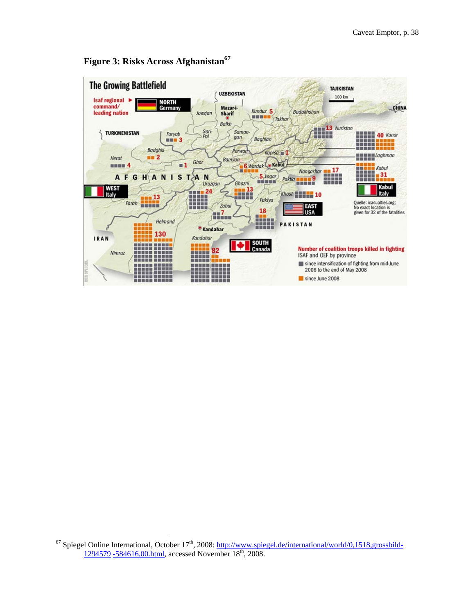

## **Figure 3: Risks Across Afghanistan<sup>67</sup>**

<sup>&</sup>lt;sup>67</sup> Spiegel Online International, October 17<sup>th</sup>, 2008: http://www.spiegel.de/international/world/0,1518,grossbild-1294579 -584616,00.html, accessed November 18<sup>th</sup>, 2008.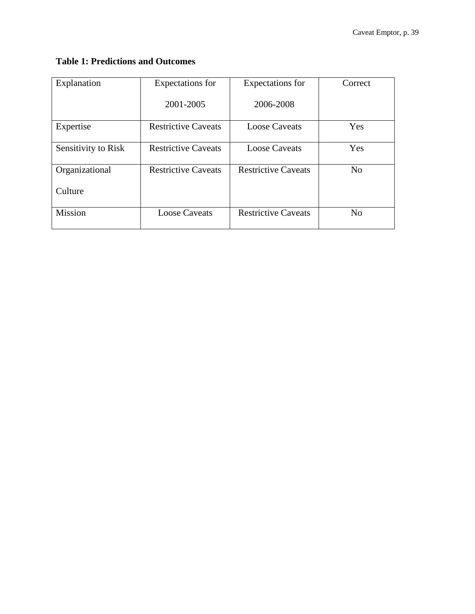## **Table 1: Predictions and Outcomes**

| Explanation         | Expectations for           | Expectations for           | Correct        |
|---------------------|----------------------------|----------------------------|----------------|
|                     | 2001-2005                  | 2006-2008                  |                |
| Expertise           | <b>Restrictive Caveats</b> | <b>Loose Caveats</b>       | Yes            |
| Sensitivity to Risk | <b>Restrictive Caveats</b> | <b>Loose Caveats</b>       | Yes            |
| Organizational      | <b>Restrictive Caveats</b> | <b>Restrictive Caveats</b> | N <sub>0</sub> |
| Culture             |                            |                            |                |
| <b>Mission</b>      | <b>Loose Caveats</b>       | <b>Restrictive Caveats</b> | N <sub>0</sub> |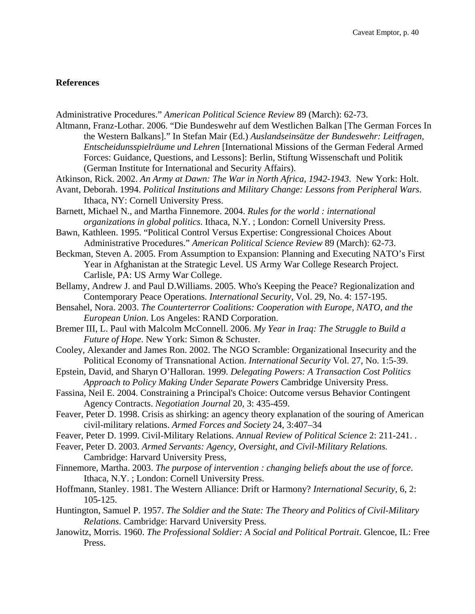#### **References**

Administrative Procedures." *American Political Science Review* 89 (March): 62-73.

Altmann, Franz-Lothar. 2006. "Die Bundeswehr auf dem Westlichen Balkan [The German Forces In the Western Balkans]." In Stefan Mair (Ed.) *Auslandseinsätze der Bundeswehr: Leitfragen, Entscheidunsspielräume und Lehren* [International Missions of the German Federal Armed Forces: Guidance, Questions, and Lessons]: Berlin, Stiftung Wissenschaft und Politik (German Institute for International and Security Affairs).

Atkinson, Rick. 2002. *An Army at Dawn: The War in North Africa, 1942-1943*. New York: Holt.

- Avant, Deborah. 1994. *Political Institutions and Military Change: Lessons from Peripheral Wars*. Ithaca, NY: Cornell University Press.
- Barnett, Michael N., and Martha Finnemore. 2004. *Rules for the world : international organizations in global politics*. Ithaca, N.Y. ; London: Cornell University Press.
- Bawn, Kathleen. 1995. "Political Control Versus Expertise: Congressional Choices About Administrative Procedures." *American Political Science Review* 89 (March): 62-73.
- Beckman, Steven A. 2005. From Assumption to Expansion: Planning and Executing NATO's First Year in Afghanistan at the Strategic Level. US Army War College Research Project. Carlisle, PA: US Army War College.
- Bellamy, Andrew J. and Paul D.Williams. 2005. Who's Keeping the Peace? Regionalization and Contemporary Peace Operations. *International Security*, Vol. 29, No. 4: 157-195.
- Bensahel, Nora. 2003. *The Counterterror Coalitions: Cooperation with Europe, NATO, and the European Union*. Los Angeles: RAND Corporation.
- Bremer III, L. Paul with Malcolm McConnell. 2006. *My Year in Iraq: The Struggle to Build a Future of Hope*. New York: Simon & Schuster.
- Cooley, Alexander and James Ron. 2002. The NGO Scramble: Organizational Insecurity and the Political Economy of Transnational Action. *International Security* Vol. 27, No. 1:5-39.
- Epstein, David, and Sharyn O'Halloran. 1999. *Delegating Powers: A Transaction Cost Politics Approach to Policy Making Under Separate Powers* Cambridge University Press.
- Fassina, Neil E. 2004. Constraining a Principal's Choice: Outcome versus Behavior Contingent Agency Contracts. *Negotiation Journal* 20, 3: 435-459.
- Feaver, Peter D. 1998. Crisis as shirking: an agency theory explanation of the souring of American civil-military relations. *Armed Forces and Society* 24, 3:407–34
- Feaver, Peter D. 1999. Civil-Military Relations. *Annual Review of Political Science* 2: 211-241. .
- Feaver, Peter D. 2003. *Armed Servants: Agency, Oversight, and Civil-Military Relations.*  Cambridge: Harvard University Press,
- Finnemore, Martha. 2003. *The purpose of intervention : changing beliefs about the use of force*. Ithaca, N.Y. ; London: Cornell University Press.
- Hoffmann, Stanley. 1981. The Western Alliance: Drift or Harmony? *International Security*, 6, 2: 105-125.
- Huntington, Samuel P. 1957. *The Soldier and the State: The Theory and Politics of Civil-Military Relations*. Cambridge: Harvard University Press.
- Janowitz, Morris. 1960. *The Professional Soldier: A Social and Political Portrait*. Glencoe, IL: Free Press.